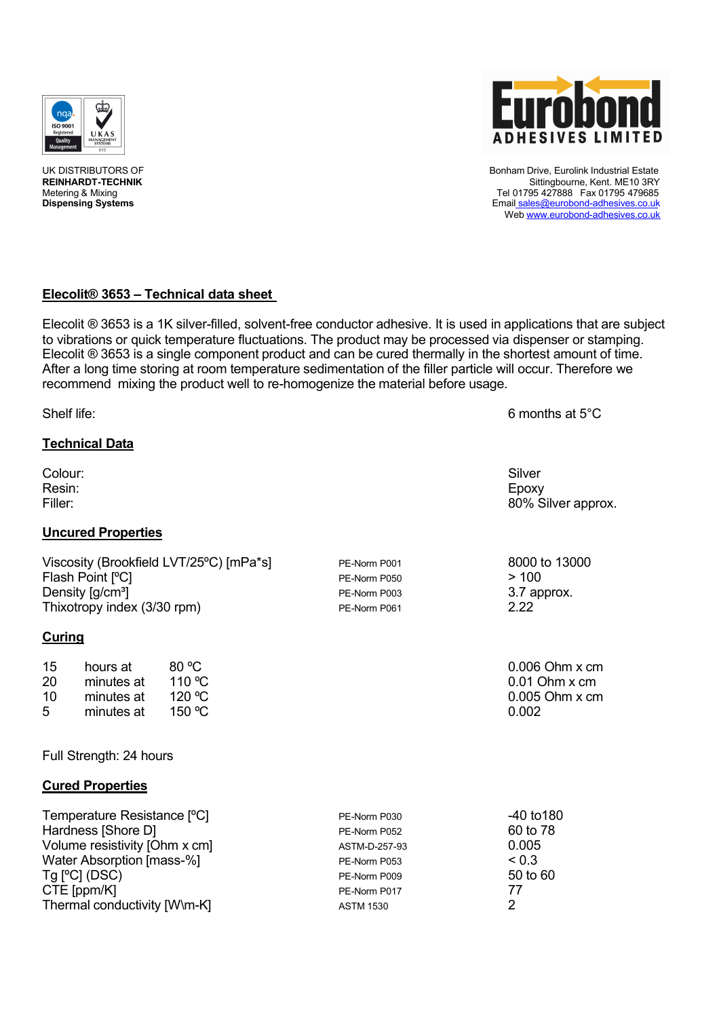



UK DISTRIBUTORS OF Bonham Drive, Eurolink Industrial Estate REINHARDT-TECHNIK STREEP STREEP TO A STREEP THE SITTING OF THE SITTING STREEP THE SITTING STREEP THE SITTING O<br>Tel 01795 427888 Fax 01795 479685 Metering & Mixing Tel 01795 427888 Fax 01795 479685<br>Dispensing Systems Tel 01795 427888 Fax 01795 479685<br>Dispensing Systems **Dispensing Systems** Email sales@eurobond-adhesives.co.uk Web www.eurobond-adhesives.co.uk

# **ElecolitÄ 3653 – Technical data sheet**

Elecolit ® 3653 is a 1K silver-filled, solvent-free conductor adhesive. It is used in applications that are subject to vibrations or quick temperature fluctuations. The product may be processed via dispenser or stamping. Elecolit  $\mathcal D$  3653 is a single component product and can be cured thermally in the shortest amount of time. After a long time storing at room temperature sedimentation of the filler particle will occur. Therefore we recommend mixing the product well to re-homogenize the material before usage.

Shelf life: 6 months at 5<sup>°</sup>C **Technical Data** Colour: Silver Resin: Epoxy Filler: 80% Silver approx. **Uncured Properties** Viscosity (Brookfield LVT/25°C) [mPa\*s]  $PE-Norm P001$  8000 to 13000 PE-Norm P050  $> 100$ Flash Point [<sup>o</sup>C] PE-Norm P050 Density  $[q/cm^3]$  PE-Norm P003 3.7 approx. Thixotropy index (3/30 rpm) PE-Norm P061 2.22 **Curing** 15 hours at 80 °C 6.000 0 m  $\alpha$  6.006 Ohm x cm 20 minutes at 110 ℃<br>10 minutes at 120 ℃ 10 minutes at 120 °C 0.005 Ohm x cm<br>5 minutes at 150 °C minutes at  $150 \, \text{°C}$  and  $0.002$ Full Strength: 24 hours **Cured Properties** Temperature Resistance [ÇC] PE-Norm P030 -40 to180 Hardness [Shore D] PE-Norm P052 Volume resistivity [Ohm x cm]  $\overline{a}$  ASTM-D-257-93 0.005<br>Water Absorption Imass-%1 Water Absorption [mass-%]  $Tg$  [°C] (DSC)  $P_{\text{E-Norm P009}}$  50 to 60 CTE [ppm/K] 77<br>Thermal conductivity [W\m-K] FE-Norm P017 2 Thermal conductivity [W\m-K] ASTM 1530